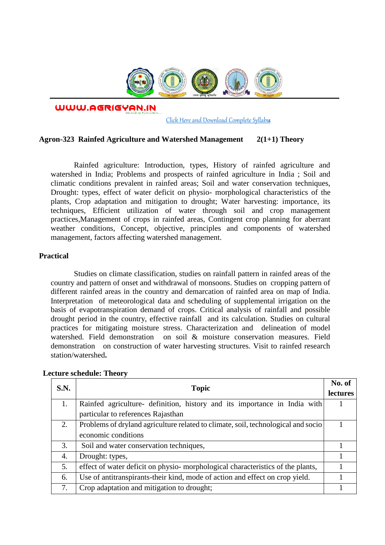

WWW.AGRIGYAN.IN

[Click Here and Download Complete Syllabus](http://agrigyan.in/)

# **Agron-323 Rainfed Agriculture and Watershed Management 2(1+1) Theory**

Rainfed agriculture: Introduction, types, History of rainfed agriculture and watershed in India; Problems and prospects of rainfed agriculture in India ; Soil and climatic conditions prevalent in rainfed areas; Soil and water conservation techniques, Drought: types, effect of water deficit on physio- morphological characteristics of the plants, Crop adaptation and mitigation to drought; Water harvesting: importance, its techniques, Efficient utilization of water through soil and crop management practices,Management of crops in rainfed areas, Contingent crop planning for aberrant weather conditions, Concept, objective, principles and components of watershed management, factors affecting watershed management.

# **Practical**

 $\overline{a}$ 

Studies on climate classification, studies on rainfall pattern in rainfed areas of the country and pattern of onset and withdrawal of monsoons. Studies on cropping pattern of different rainfed areas in the country and demarcation of rainfed area on map of India. Interpretation of meteorological data and scheduling of supplemental irrigation on the basis of evapotranspiration demand of crops. Critical analysis of rainfall and possible drought period in the country, effective rainfall and its calculation. Studies on cultural practices for mitigating moisture stress. Characterization and delineation of model watershed. Field demonstration on soil & moisture conservation measures. Field demonstration on construction of water harvesting structures. Visit to rainfed research station/watershed**.** 

| S.N. | <b>Topic</b>                                                                      | No. of<br><b>lectures</b> |
|------|-----------------------------------------------------------------------------------|---------------------------|
| 1.   | Rainfed agriculture- definition, history and its importance in India with         |                           |
|      | particular to references Rajasthan                                                |                           |
| 2.   | Problems of dryland agriculture related to climate, soil, technological and socio |                           |
|      | economic conditions                                                               |                           |
| 3.   | Soil and water conservation techniques,                                           |                           |
| 4.   | Drought: types,                                                                   |                           |
| 5.   | effect of water deficit on physio- morphological characteristics of the plants,   |                           |
| 6.   | Use of antitranspirants-their kind, mode of action and effect on crop yield.      |                           |
| 7.   | Crop adaptation and mitigation to drought;                                        |                           |

### **Lecture schedule: Theory**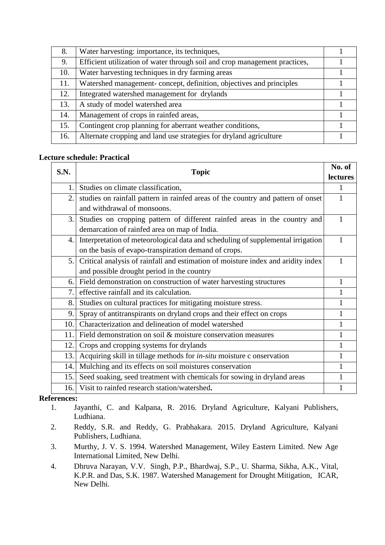| 8.  | Water harvesting: importance, its techniques,                              |  |
|-----|----------------------------------------------------------------------------|--|
| 9.  | Efficient utilization of water through soil and crop management practices, |  |
| 10. | Water harvesting techniques in dry farming areas                           |  |
| 11. | Watershed management-concept, definition, objectives and principles        |  |
| 12. | Integrated watershed management for drylands                               |  |
| 13. | A study of model watershed area                                            |  |
| 14. | Management of crops in rainfed areas,                                      |  |
| 15. | Contingent crop planning for aberrant weather conditions,                  |  |
| 16. | Alternate cropping and land use strategies for dryland agriculture         |  |

# **Lecture schedule: Practical**

| S.N. | <b>Topic</b>                                                                     | No. of          |
|------|----------------------------------------------------------------------------------|-----------------|
|      |                                                                                  | <b>lectures</b> |
| 1.   | Studies on climate classification,                                               |                 |
| 2.   | studies on rainfall pattern in rainfed areas of the country and pattern of onset |                 |
|      | and withdrawal of monsoons.                                                      |                 |
| 3.   | Studies on cropping pattern of different rainfed areas in the country and        |                 |
|      | demarcation of rainfed area on map of India.                                     |                 |
| 4.   | Interpretation of meteorological data and scheduling of supplemental irrigation  |                 |
|      | on the basis of evapo-transpiration demand of crops.                             |                 |
| 5.   | Critical analysis of rainfall and estimation of moisture index and aridity index |                 |
|      | and possible drought period in the country                                       |                 |
| 6.   | Field demonstration on construction of water harvesting structures               |                 |
| 7.   | effective rainfall and its calculation.                                          |                 |
| 8.   | Studies on cultural practices for mitigating moisture stress.                    |                 |
| 9.   | Spray of antitranspirants on dryland crops and their effect on crops             |                 |
| 10.  | Characterization and delineation of model watershed                              |                 |
| 11.  | Field demonstration on soil & moisture conservation measures                     |                 |
| 12.  | Crops and cropping systems for drylands                                          |                 |
| 13.  | Acquiring skill in tillage methods for in-situ moisture c onservation            |                 |
| 14.  | Mulching and its effects on soil moistures conservation                          |                 |
| 15.  | Seed soaking, seed treatment with chemicals for sowing in dryland areas          |                 |
| 16.  | Visit to rainfed research station/watershed.                                     |                 |

# **References:**

- 1. Jayanthi, C. and Kalpana, R. 2016. Dryland Agriculture, Kalyani Publishers, Ludhiana.
- 2. Reddy, S.R. and Reddy, G. Prabhakara. 2015. Dryland Agriculture, Kalyani Publishers, Ludhiana.
- 3. Murthy, J. V. S. 1994. Watershed Management, Wiley Eastern Limited. New Age International Limited, New Delhi.
- 4. Dhruva Narayan, V.V. Singh, P.P., Bhardwaj, S.P., U. Sharma, Sikha, A.K., Vital, K.P.R. and Das, S.K. 1987. Watershed Management for Drought Mitigation, ICAR, New Delhi.